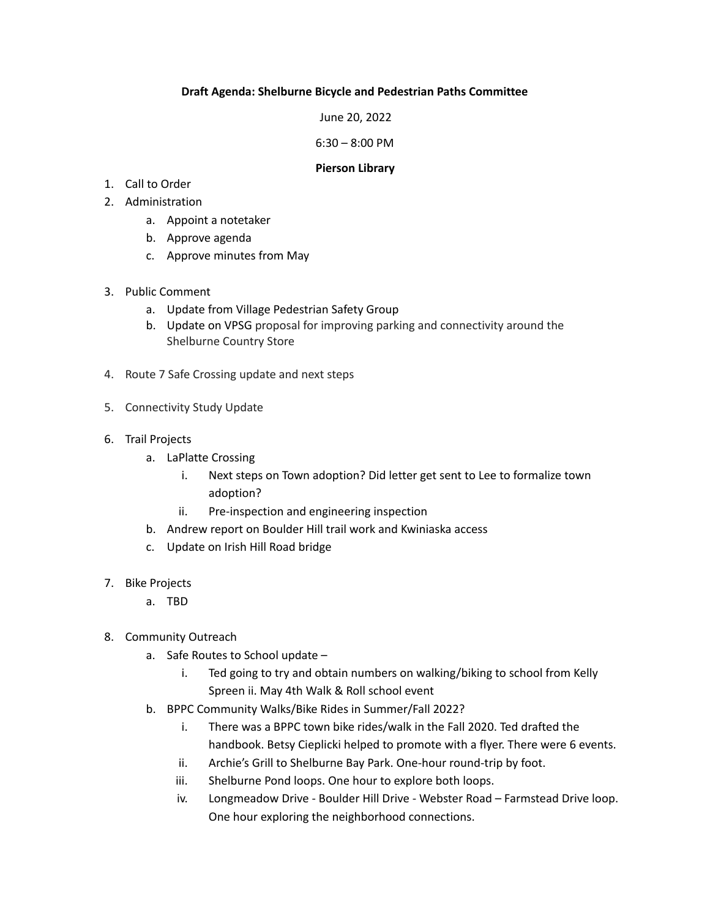## **Draft Agenda: Shelburne Bicycle and Pedestrian Paths Committee**

June 20, 2022

6:30 – 8:00 PM

## **Pierson Library**

- 1. Call to Order
- 2. Administration
	- a. Appoint a notetaker
	- b. Approve agenda
	- c. Approve minutes from May
- 3. Public Comment
	- a. Update from Village Pedestrian Safety Group
	- b. Update on VPSG proposal for improving parking and connectivity around the Shelburne Country Store
- 4. Route 7 Safe Crossing update and next steps
- 5. Connectivity Study Update
- 6. Trail Projects
	- a. LaPlatte Crossing
		- i. Next steps on Town adoption? Did letter get sent to Lee to formalize town adoption?
		- ii. Pre-inspection and engineering inspection
	- b. Andrew report on Boulder Hill trail work and Kwiniaska access
	- c. Update on Irish Hill Road bridge
- 7. Bike Projects
	- a. TBD
- 8. Community Outreach
	- a. Safe Routes to School update
		- i. Ted going to try and obtain numbers on walking/biking to school from Kelly Spreen ii. May 4th Walk & Roll school event
	- b. BPPC Community Walks/Bike Rides in Summer/Fall 2022?
		- i. There was a BPPC town bike rides/walk in the Fall 2020. Ted drafted the handbook. Betsy Cieplicki helped to promote with a flyer. There were 6 events.
		- ii. Archie's Grill to Shelburne Bay Park. One-hour round-trip by foot.
		- iii. Shelburne Pond loops. One hour to explore both loops.
		- iv. Longmeadow Drive Boulder Hill Drive Webster Road Farmstead Drive loop. One hour exploring the neighborhood connections.